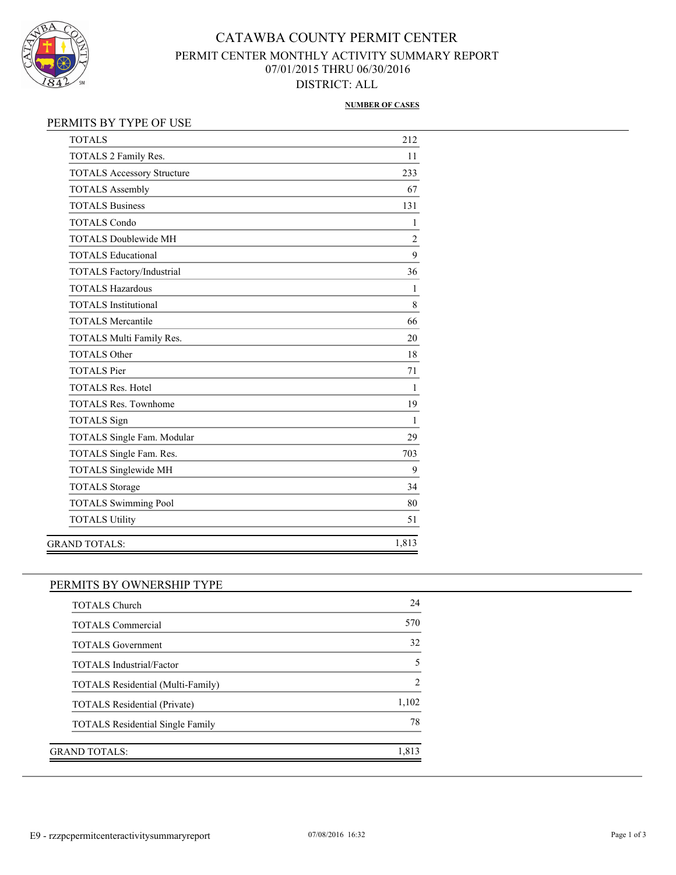

# CATAWBA COUNTY PERMIT CENTER PERMIT CENTER MONTHLY ACTIVITY SUMMARY REPORT 07/01/2015 THRU 06/30/2016 DISTRICT: ALL

#### **NUMBER OF CASES**

| <b>TOTALS</b>                     | 212            |
|-----------------------------------|----------------|
| TOTALS 2 Family Res.              | 11             |
| <b>TOTALS Accessory Structure</b> | 233            |
| <b>TOTALS Assembly</b>            | 67             |
| <b>TOTALS Business</b>            | 131            |
| <b>TOTALS Condo</b>               | 1              |
| <b>TOTALS Doublewide MH</b>       | $\overline{c}$ |
| <b>TOTALS Educational</b>         | 9              |
| <b>TOTALS Factory/Industrial</b>  | 36             |
| <b>TOTALS Hazardous</b>           | 1              |
| <b>TOTALS</b> Institutional       | 8              |
| <b>TOTALS Mercantile</b>          | 66             |
| TOTALS Multi Family Res.          | 20             |
| <b>TOTALS Other</b>               | 18             |
| <b>TOTALS Pier</b>                | 71             |
| <b>TOTALS Res. Hotel</b>          | 1              |
| <b>TOTALS Res. Townhome</b>       | 19             |
| <b>TOTALS</b> Sign                | 1              |
| TOTALS Single Fam. Modular        | 29             |
| TOTALS Single Fam. Res.           | 703            |
| <b>TOTALS Singlewide MH</b>       | 9              |
| <b>TOTALS Storage</b>             | 34             |
| <b>TOTALS Swimming Pool</b>       | 80             |
| <b>TOTALS Utility</b>             | 51             |
| <b>GRAND TOTALS:</b>              | 1,813          |

## PERMITS BY OWNERSHIP TYPE

| <b>TOTALS Church</b>                     | 24            |
|------------------------------------------|---------------|
| <b>TOTALS Commercial</b>                 | 570           |
| <b>TOTALS Government</b>                 | 32            |
| <b>TOTALS</b> Industrial/Factor          | 5             |
| <b>TOTALS Residential (Multi-Family)</b> | $\mathcal{D}$ |
| <b>TOTALS Residential (Private)</b>      | 1,102         |
| <b>TOTALS Residential Single Family</b>  | 78            |
|                                          |               |
| GRAND TOTALS:                            | 1,813         |
|                                          |               |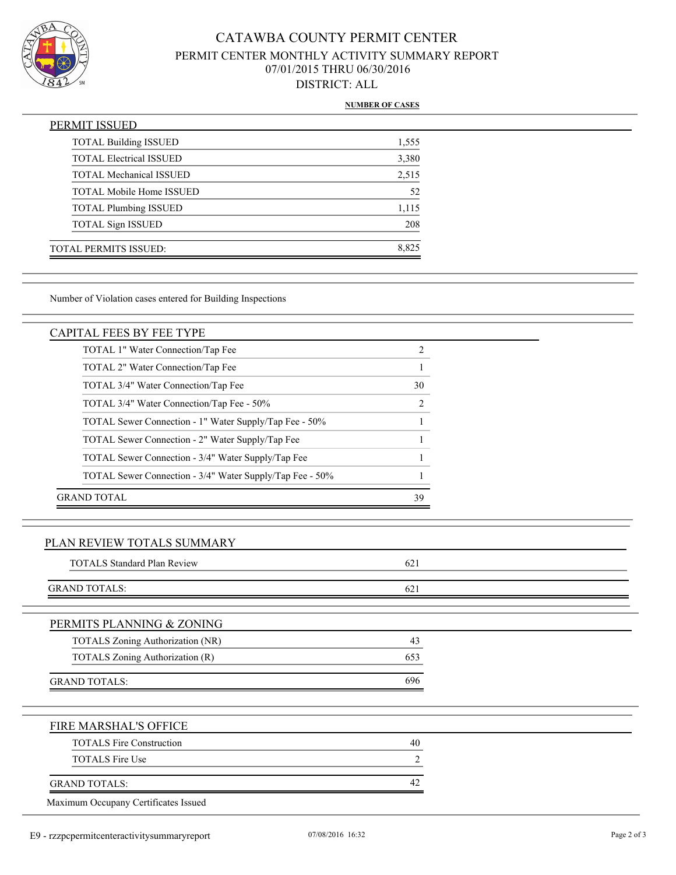

# CATAWBA COUNTY PERMIT CENTER PERMIT CENTER MONTHLY ACTIVITY SUMMARY REPORT 07/01/2015 THRU 06/30/2016 DISTRICT: ALL

### **NUMBER OF CASES**

| PERMIT ISSUED                   |       |
|---------------------------------|-------|
| <b>TOTAL Building ISSUED</b>    | 1,555 |
| <b>TOTAL Electrical ISSUED</b>  | 3,380 |
| <b>TOTAL Mechanical ISSUED</b>  | 2,515 |
| <b>TOTAL Mobile Home ISSUED</b> | 52    |
| <b>TOTAL Plumbing ISSUED</b>    | 1,115 |
| <b>TOTAL Sign ISSUED</b>        | 208   |
| <b>TOTAL PERMITS ISSUED:</b>    | 8.825 |

Number of Violation cases entered for Building Inspections

### CAPITAL FEES BY FEE TYPE

| TOTAL 1" Water Connection/Tap Fee                        |    |
|----------------------------------------------------------|----|
| TOTAL 2" Water Connection/Tap Fee                        |    |
| TOTAL 3/4" Water Connection/Tap Fee                      | 30 |
| TOTAL 3/4" Water Connection/Tap Fee - 50%                |    |
| TOTAL Sewer Connection - 1" Water Supply/Tap Fee - 50%   |    |
| TOTAL Sewer Connection - 2" Water Supply/Tap Fee         |    |
| TOTAL Sewer Connection - 3/4" Water Supply/Tap Fee       |    |
| TOTAL Sewer Connection - 3/4" Water Supply/Tap Fee - 50% |    |
| GRAND TOTAL                                              | 39 |

### PLAN REVIEW TOTALS SUMMARY

| <b>TOTALS Standard Plan Review</b> | 621 |  |
|------------------------------------|-----|--|
| <b>GRAND TOTALS:</b>               | 621 |  |
| PERMITS PLANNING & ZONING          |     |  |
| TOTALS Zoning Authorization (NR)   | 43  |  |
| TOTALS Zoning Authorization (R)    | 653 |  |
| <b>GRAND TOTALS:</b>               | 696 |  |
| FIRE MARSHAL'S OFFICE              |     |  |
| <b>TOTALS Fire Construction</b>    | 40  |  |
| <b>TOTALS Fire Use</b>             | 2   |  |
| <b>GRAND TOTALS:</b>               | 42  |  |

Maximum Occupany Certificates Issued